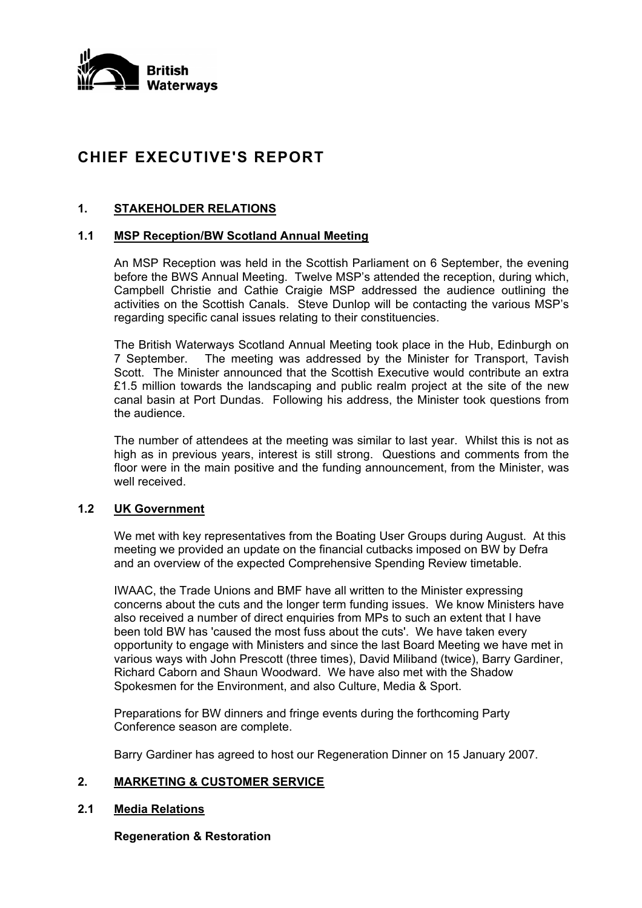

# **CHIEF EXECUTIVE'S REPORT**

# **1. STAKEHOLDER RELATIONS**

# **1.1 MSP Reception/BW Scotland Annual Meeting**

An MSP Reception was held in the Scottish Parliament on 6 September, the evening before the BWS Annual Meeting. Twelve MSP's attended the reception, during which, Campbell Christie and Cathie Craigie MSP addressed the audience outlining the activities on the Scottish Canals. Steve Dunlop will be contacting the various MSP's regarding specific canal issues relating to their constituencies.

The British Waterways Scotland Annual Meeting took place in the Hub, Edinburgh on 7 September. The meeting was addressed by the Minister for Transport, Tavish Scott. The Minister announced that the Scottish Executive would contribute an extra £1.5 million towards the landscaping and public realm project at the site of the new canal basin at Port Dundas. Following his address, the Minister took questions from the audience.

The number of attendees at the meeting was similar to last year. Whilst this is not as high as in previous years, interest is still strong. Questions and comments from the floor were in the main positive and the funding announcement, from the Minister, was well received.

# **1.2 UK Government**

 We met with key representatives from the Boating User Groups during August. At this meeting we provided an update on the financial cutbacks imposed on BW by Defra and an overview of the expected Comprehensive Spending Review timetable.

 IWAAC, the Trade Unions and BMF have all written to the Minister expressing concerns about the cuts and the longer term funding issues. We know Ministers have also received a number of direct enquiries from MPs to such an extent that I have been told BW has 'caused the most fuss about the cuts'. We have taken every opportunity to engage with Ministers and since the last Board Meeting we have met in various ways with John Prescott (three times), David Miliband (twice), Barry Gardiner, Richard Caborn and Shaun Woodward. We have also met with the Shadow Spokesmen for the Environment, and also Culture, Media & Sport.

 Preparations for BW dinners and fringe events during the forthcoming Party Conference season are complete.

Barry Gardiner has agreed to host our Regeneration Dinner on 15 January 2007.

# **2. MARKETING & CUSTOMER SERVICE**

### **2.1 Media Relations**

**Regeneration & Restoration**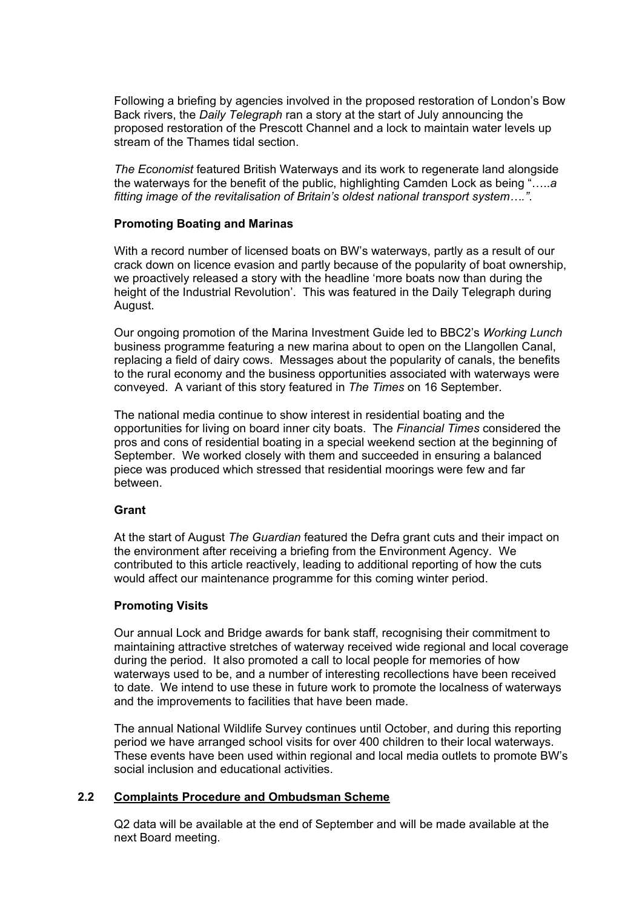Following a briefing by agencies involved in the proposed restoration of London's Bow Back rivers, the *Daily Telegraph* ran a story at the start of July announcing the proposed restoration of the Prescott Channel and a lock to maintain water levels up stream of the Thames tidal section.

*The Economist* featured British Waterways and its work to regenerate land alongside the waterways for the benefit of the public, highlighting Camden Lock as being "…..*a fitting image of the revitalisation of Britain's oldest national transport system…."*.

### **Promoting Boating and Marinas**

 With a record number of licensed boats on BW's waterways, partly as a result of our crack down on licence evasion and partly because of the popularity of boat ownership, we proactively released a story with the headline 'more boats now than during the height of the Industrial Revolution'. This was featured in the Daily Telegraph during August.

 Our ongoing promotion of the Marina Investment Guide led to BBC2's *Working Lunch* business programme featuring a new marina about to open on the Llangollen Canal, replacing a field of dairy cows. Messages about the popularity of canals, the benefits to the rural economy and the business opportunities associated with waterways were conveyed. A variant of this story featured in *The Times* on 16 September.

 The national media continue to show interest in residential boating and the opportunities for living on board inner city boats. The *Financial Times* considered the pros and cons of residential boating in a special weekend section at the beginning of September. We worked closely with them and succeeded in ensuring a balanced piece was produced which stressed that residential moorings were few and far between.

# **Grant**

 At the start of August *The Guardian* featured the Defra grant cuts and their impact on the environment after receiving a briefing from the Environment Agency. We contributed to this article reactively, leading to additional reporting of how the cuts would affect our maintenance programme for this coming winter period.

# **Promoting Visits**

 Our annual Lock and Bridge awards for bank staff, recognising their commitment to maintaining attractive stretches of waterway received wide regional and local coverage during the period. It also promoted a call to local people for memories of how waterways used to be, and a number of interesting recollections have been received to date. We intend to use these in future work to promote the localness of waterways and the improvements to facilities that have been made.

 The annual National Wildlife Survey continues until October, and during this reporting period we have arranged school visits for over 400 children to their local waterways. These events have been used within regional and local media outlets to promote BW's social inclusion and educational activities.

# **2.2 Complaints Procedure and Ombudsman Scheme**

 Q2 data will be available at the end of September and will be made available at the next Board meeting.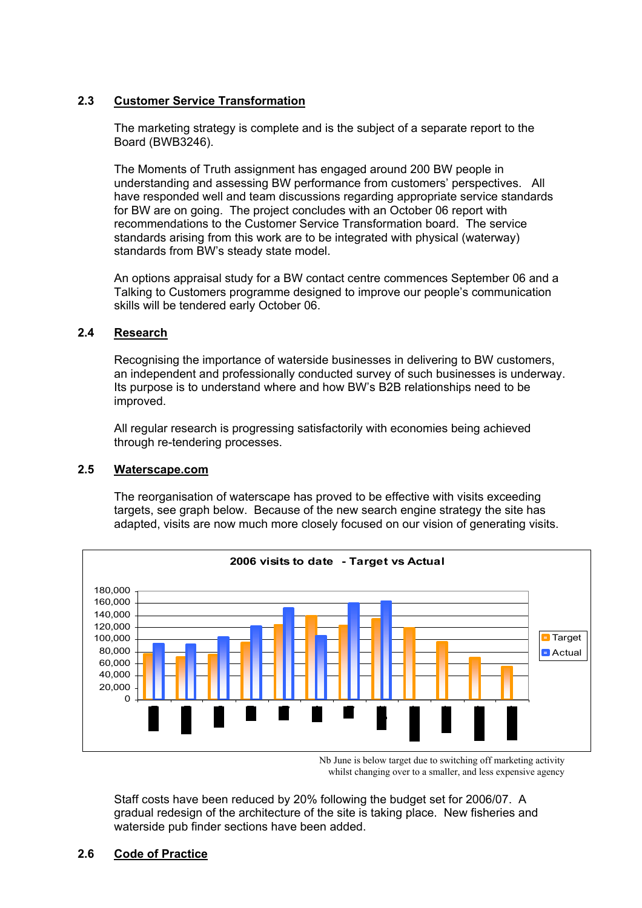# **2.3 Customer Service Transformation**

 The marketing strategy is complete and is the subject of a separate report to the Board (BWB3246).

 The Moments of Truth assignment has engaged around 200 BW people in understanding and assessing BW performance from customers' perspectives. All have responded well and team discussions regarding appropriate service standards for BW are on going. The project concludes with an October 06 report with recommendations to the Customer Service Transformation board. The service standards arising from this work are to be integrated with physical (waterway) standards from BW's steady state model.

 An options appraisal study for a BW contact centre commences September 06 and a Talking to Customers programme designed to improve our people's communication skills will be tendered early October 06.

# **2.4 Research**

 Recognising the importance of waterside businesses in delivering to BW customers, an independent and professionally conducted survey of such businesses is underway. Its purpose is to understand where and how BW's B2B relationships need to be improved.

 All regular research is progressing satisfactorily with economies being achieved through re-tendering processes.

# **2.5 Waterscape.com**

 The reorganisation of waterscape has proved to be effective with visits exceeding targets, see graph below. Because of the new search engine strategy the site has adapted, visits are now much more closely focused on our vision of generating visits.



Nb June is below target due to switching off marketing activity whilst changing over to a smaller, and less expensive agency

 Staff costs have been reduced by 20% following the budget set for 2006/07. A gradual redesign of the architecture of the site is taking place. New fisheries and waterside pub finder sections have been added.

# **2.6 Code of Practice**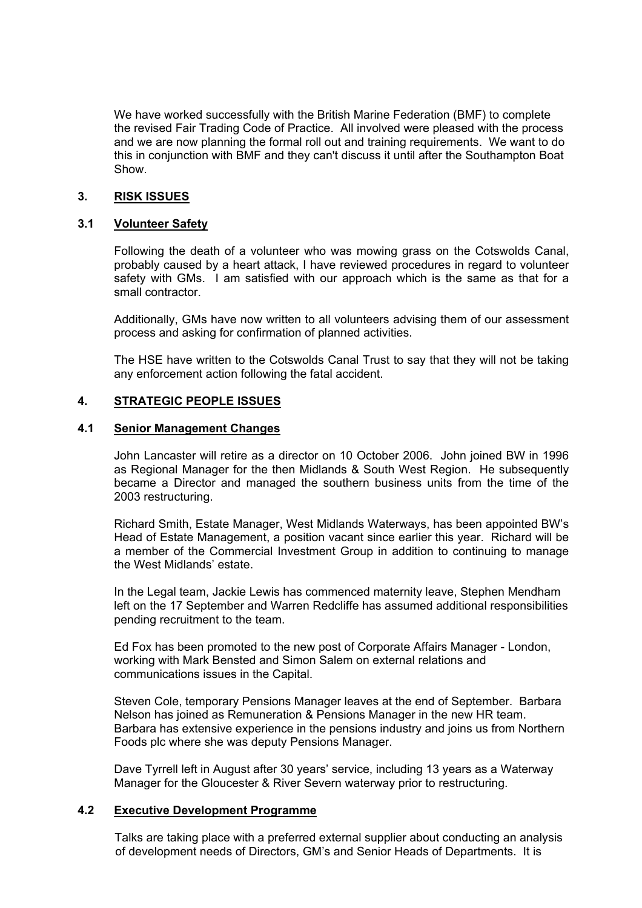We have worked successfully with the British Marine Federation (BMF) to complete the revised Fair Trading Code of Practice. All involved were pleased with the process and we are now planning the formal roll out and training requirements. We want to do this in conjunction with BMF and they can't discuss it until after the Southampton Boat Show.

# **3. RISK ISSUES**

# **3.1 Volunteer Safety**

 Following the death of a volunteer who was mowing grass on the Cotswolds Canal, probably caused by a heart attack, I have reviewed procedures in regard to volunteer safety with GMs. I am satisfied with our approach which is the same as that for a small contractor.

 Additionally, GMs have now written to all volunteers advising them of our assessment process and asking for confirmation of planned activities.

 The HSE have written to the Cotswolds Canal Trust to say that they will not be taking any enforcement action following the fatal accident.

# **4. STRATEGIC PEOPLE ISSUES**

# **4.1 Senior Management Changes**

John Lancaster will retire as a director on 10 October 2006. John joined BW in 1996 as Regional Manager for the then Midlands & South West Region. He subsequently became a Director and managed the southern business units from the time of the 2003 restructuring.

Richard Smith, Estate Manager, West Midlands Waterways, has been appointed BW's Head of Estate Management, a position vacant since earlier this year. Richard will be a member of the Commercial Investment Group in addition to continuing to manage the West Midlands' estate.

In the Legal team, Jackie Lewis has commenced maternity leave, Stephen Mendham left on the 17 September and Warren Redcliffe has assumed additional responsibilities pending recruitment to the team.

Ed Fox has been promoted to the new post of Corporate Affairs Manager - London, working with Mark Bensted and Simon Salem on external relations and communications issues in the Capital.

Steven Cole, temporary Pensions Manager leaves at the end of September. Barbara Nelson has joined as Remuneration & Pensions Manager in the new HR team. Barbara has extensive experience in the pensions industry and joins us from Northern Foods plc where she was deputy Pensions Manager.

Dave Tyrrell left in August after 30 years' service, including 13 years as a Waterway Manager for the Gloucester & River Severn waterway prior to restructuring.

# **4.2 Executive Development Programme**

Talks are taking place with a preferred external supplier about conducting an analysis of development needs of Directors, GM's and Senior Heads of Departments. It is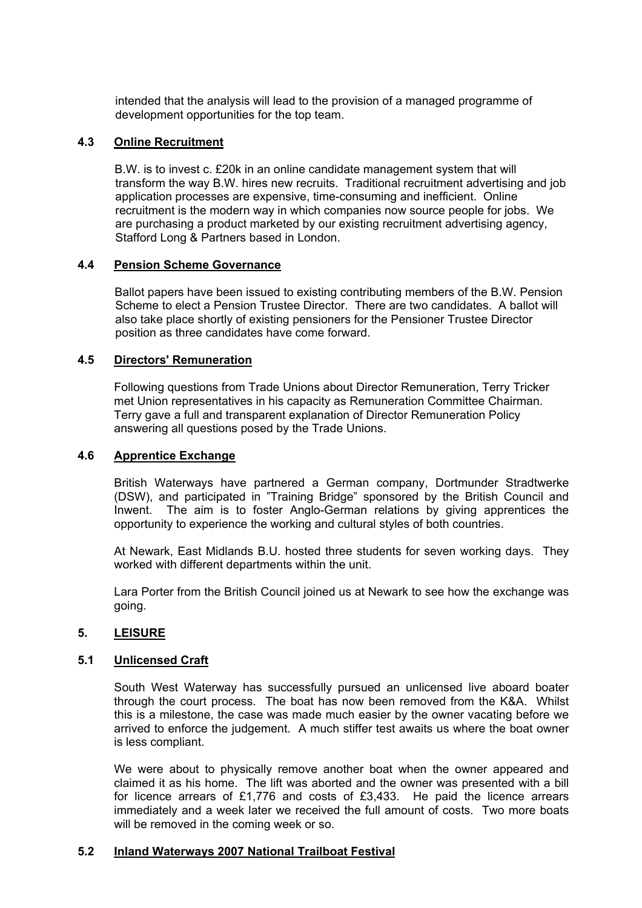intended that the analysis will lead to the provision of a managed programme of development opportunities for the top team.

### **4.3 Online Recruitment**

B.W. is to invest c. £20k in an online candidate management system that will transform the way B.W. hires new recruits. Traditional recruitment advertising and job application processes are expensive, time-consuming and inefficient. Online recruitment is the modern way in which companies now source people for jobs. We are purchasing a product marketed by our existing recruitment advertising agency, Stafford Long & Partners based in London.

### **4.4 Pension Scheme Governance**

Ballot papers have been issued to existing contributing members of the B.W. Pension Scheme to elect a Pension Trustee Director. There are two candidates. A ballot will also take place shortly of existing pensioners for the Pensioner Trustee Director position as three candidates have come forward.

#### **4.5 Directors' Remuneration**

Following questions from Trade Unions about Director Remuneration, Terry Tricker met Union representatives in his capacity as Remuneration Committee Chairman. Terry gave a full and transparent explanation of Director Remuneration Policy answering all questions posed by the Trade Unions.

# **4.6 Apprentice Exchange**

British Waterways have partnered a German company, Dortmunder Stradtwerke (DSW), and participated in "Training Bridge" sponsored by the British Council and Inwent. The aim is to foster Anglo-German relations by giving apprentices the opportunity to experience the working and cultural styles of both countries.

At Newark, East Midlands B.U. hosted three students for seven working days. They worked with different departments within the unit.

Lara Porter from the British Council joined us at Newark to see how the exchange was going.

# **5. LEISURE**

#### **5.1 Unlicensed Craft**

South West Waterway has successfully pursued an unlicensed live aboard boater through the court process. The boat has now been removed from the K&A. Whilst this is a milestone, the case was made much easier by the owner vacating before we arrived to enforce the judgement. A much stiffer test awaits us where the boat owner is less compliant.

We were about to physically remove another boat when the owner appeared and claimed it as his home. The lift was aborted and the owner was presented with a bill for licence arrears of £1,776 and costs of £3,433. He paid the licence arrears immediately and a week later we received the full amount of costs. Two more boats will be removed in the coming week or so.

#### **5.2 Inland Waterways 2007 National Trailboat Festival**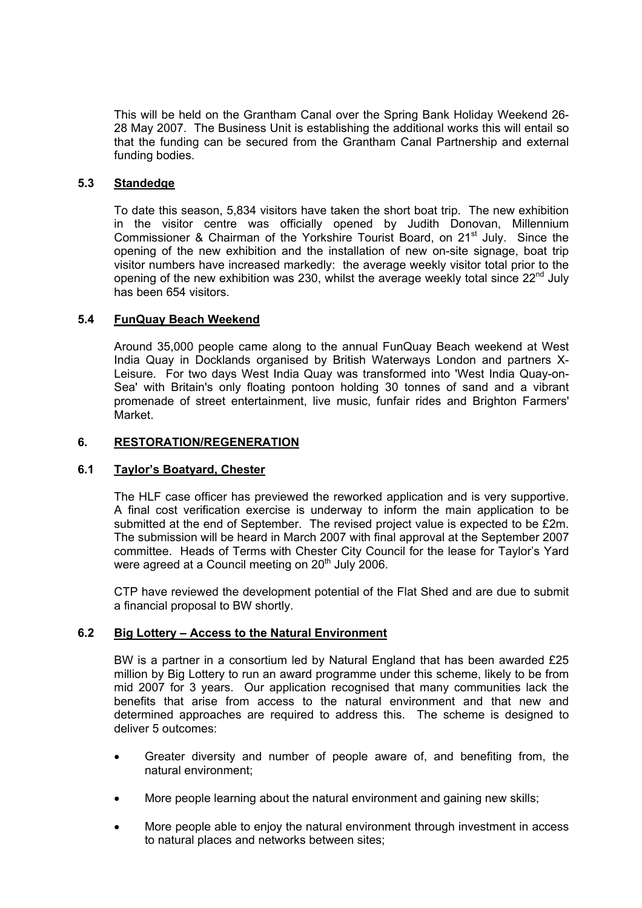This will be held on the Grantham Canal over the Spring Bank Holiday Weekend 26- 28 May 2007. The Business Unit is establishing the additional works this will entail so that the funding can be secured from the Grantham Canal Partnership and external funding bodies.

# **5.3 Standedge**

To date this season, 5,834 visitors have taken the short boat trip. The new exhibition in the visitor centre was officially opened by Judith Donovan, Millennium Commissioner & Chairman of the Yorkshire Tourist Board, on 21<sup>st</sup> July. Since the opening of the new exhibition and the installation of new on-site signage, boat trip visitor numbers have increased markedly: the average weekly visitor total prior to the opening of the new exhibition was 230, whilst the average weekly total since  $22^{nd}$  July has been 654 visitors.

# **5.4 FunQuay Beach Weekend**

Around 35,000 people came along to the annual FunQuay Beach weekend at West India Quay in Docklands organised by British Waterways London and partners X-Leisure. For two days West India Quay was transformed into 'West India Quay-on-Sea' with Britain's only floating pontoon holding 30 tonnes of sand and a vibrant promenade of street entertainment, live music, funfair rides and Brighton Farmers' Market.

# **6. RESTORATION/REGENERATION**

# **6.1 Taylor's Boatyard, Chester**

The HLF case officer has previewed the reworked application and is very supportive. A final cost verification exercise is underway to inform the main application to be submitted at the end of September. The revised project value is expected to be £2m. The submission will be heard in March 2007 with final approval at the September 2007 committee. Heads of Terms with Chester City Council for the lease for Taylor's Yard were agreed at a Council meeting on 20<sup>th</sup> July 2006.

CTP have reviewed the development potential of the Flat Shed and are due to submit a financial proposal to BW shortly.

# **6.2 Big Lottery – Access to the Natural Environment**

BW is a partner in a consortium led by Natural England that has been awarded £25 million by Big Lottery to run an award programme under this scheme, likely to be from mid 2007 for 3 years. Our application recognised that many communities lack the benefits that arise from access to the natural environment and that new and determined approaches are required to address this. The scheme is designed to deliver 5 outcomes:

- Greater diversity and number of people aware of, and benefiting from, the natural environment;
- More people learning about the natural environment and gaining new skills;
- More people able to enjoy the natural environment through investment in access to natural places and networks between sites;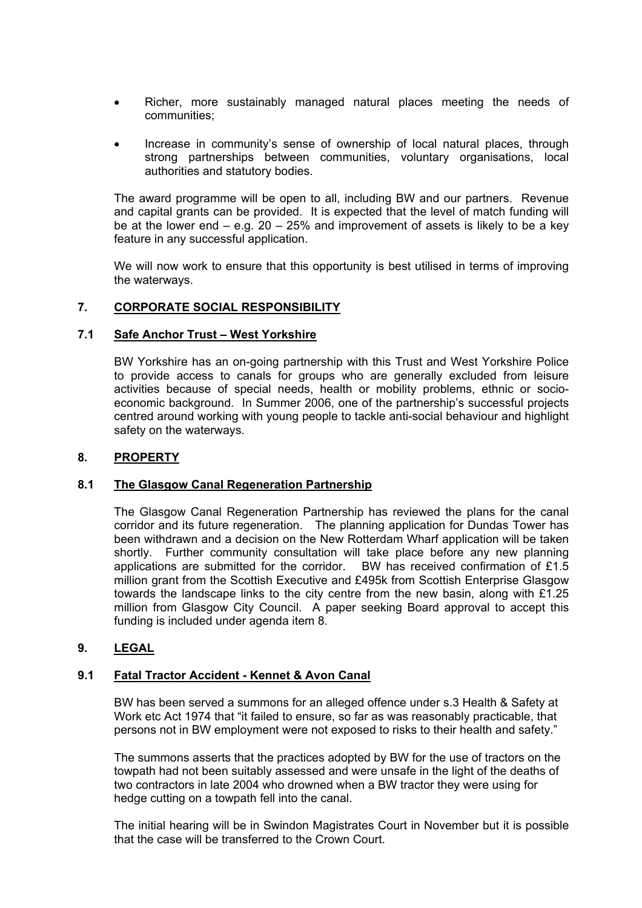- Richer, more sustainably managed natural places meeting the needs of communities;
- Increase in community's sense of ownership of local natural places, through strong partnerships between communities, voluntary organisations, local authorities and statutory bodies.

The award programme will be open to all, including BW and our partners. Revenue and capital grants can be provided. It is expected that the level of match funding will be at the lower end  $-$  e.g. 20  $-$  25% and improvement of assets is likely to be a key feature in any successful application.

We will now work to ensure that this opportunity is best utilised in terms of improving the waterways.

# **7. CORPORATE SOCIAL RESPONSIBILITY**

### **7.1 Safe Anchor Trust – West Yorkshire**

BW Yorkshire has an on-going partnership with this Trust and West Yorkshire Police to provide access to canals for groups who are generally excluded from leisure activities because of special needs, health or mobility problems, ethnic or socioeconomic background. In Summer 2006, one of the partnership's successful projects centred around working with young people to tackle anti-social behaviour and highlight safety on the waterways.

### **8. PROPERTY**

# **8.1 The Glasgow Canal Regeneration Partnership**

The Glasgow Canal Regeneration Partnership has reviewed the plans for the canal corridor and its future regeneration. The planning application for Dundas Tower has been withdrawn and a decision on the New Rotterdam Wharf application will be taken shortly. Further community consultation will take place before any new planning applications are submitted for the corridor. BW has received confirmation of £1.5 million grant from the Scottish Executive and £495k from Scottish Enterprise Glasgow towards the landscape links to the city centre from the new basin, along with £1.25 million from Glasgow City Council. A paper seeking Board approval to accept this funding is included under agenda item 8.

# **9. LEGAL**

#### **9.1 Fatal Tractor Accident - Kennet & Avon Canal**

BW has been served a summons for an alleged offence under s.3 Health & Safety at Work etc Act 1974 that "it failed to ensure, so far as was reasonably practicable, that persons not in BW employment were not exposed to risks to their health and safety."

The summons asserts that the practices adopted by BW for the use of tractors on the towpath had not been suitably assessed and were unsafe in the light of the deaths of two contractors in late 2004 who drowned when a BW tractor they were using for hedge cutting on a towpath fell into the canal.

The initial hearing will be in Swindon Magistrates Court in November but it is possible that the case will be transferred to the Crown Court.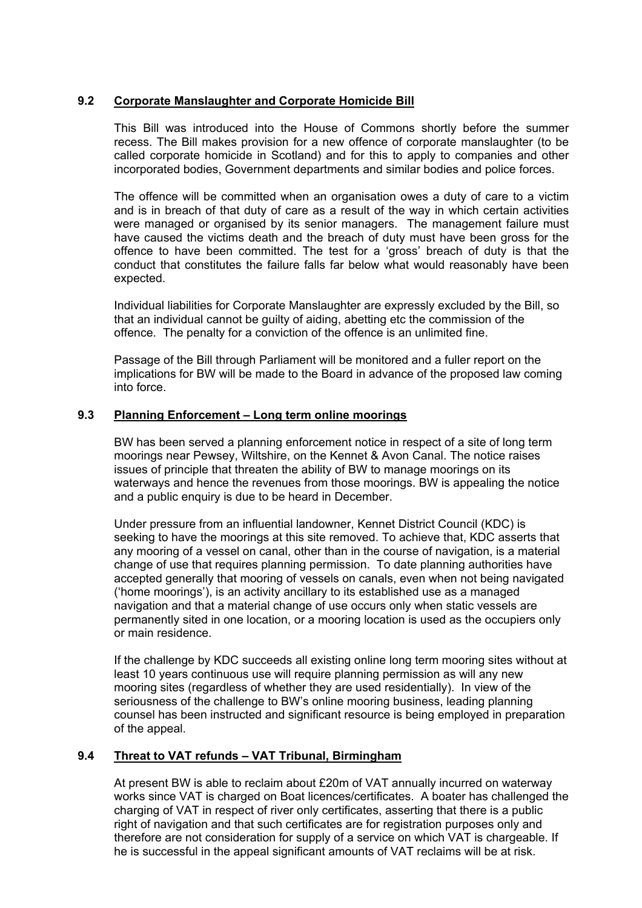# **9.2 Corporate Manslaughter and Corporate Homicide Bill**

This Bill was introduced into the House of Commons shortly before the summer recess. The Bill makes provision for a new offence of corporate manslaughter (to be called corporate homicide in Scotland) and for this to apply to companies and other incorporated bodies, Government departments and similar bodies and police forces.

The offence will be committed when an organisation owes a duty of care to a victim and is in breach of that duty of care as a result of the way in which certain activities were managed or organised by its senior managers. The management failure must have caused the victims death and the breach of duty must have been gross for the offence to have been committed. The test for a 'gross' breach of duty is that the conduct that constitutes the failure falls far below what would reasonably have been expected.

Individual liabilities for Corporate Manslaughter are expressly excluded by the Bill, so that an individual cannot be guilty of aiding, abetting etc the commission of the offence. The penalty for a conviction of the offence is an unlimited fine.

Passage of the Bill through Parliament will be monitored and a fuller report on the implications for BW will be made to the Board in advance of the proposed law coming into force.

### **9.3 Planning Enforcement – Long term online moorings**

BW has been served a planning enforcement notice in respect of a site of long term moorings near Pewsey, Wiltshire, on the Kennet & Avon Canal. The notice raises issues of principle that threaten the ability of BW to manage moorings on its waterways and hence the revenues from those moorings. BW is appealing the notice and a public enquiry is due to be heard in December.

Under pressure from an influential landowner, Kennet District Council (KDC) is seeking to have the moorings at this site removed. To achieve that, KDC asserts that any mooring of a vessel on canal, other than in the course of navigation, is a material change of use that requires planning permission. To date planning authorities have accepted generally that mooring of vessels on canals, even when not being navigated ('home moorings'), is an activity ancillary to its established use as a managed navigation and that a material change of use occurs only when static vessels are permanently sited in one location, or a mooring location is used as the occupiers only or main residence.

If the challenge by KDC succeeds all existing online long term mooring sites without at least 10 years continuous use will require planning permission as will any new mooring sites (regardless of whether they are used residentially). In view of the seriousness of the challenge to BW's online mooring business, leading planning counsel has been instructed and significant resource is being employed in preparation of the appeal.

# **9.4 Threat to VAT refunds – VAT Tribunal, Birmingham**

At present BW is able to reclaim about £20m of VAT annually incurred on waterway works since VAT is charged on Boat licences/certificates. A boater has challenged the charging of VAT in respect of river only certificates, asserting that there is a public right of navigation and that such certificates are for registration purposes only and therefore are not consideration for supply of a service on which VAT is chargeable. If he is successful in the appeal significant amounts of VAT reclaims will be at risk.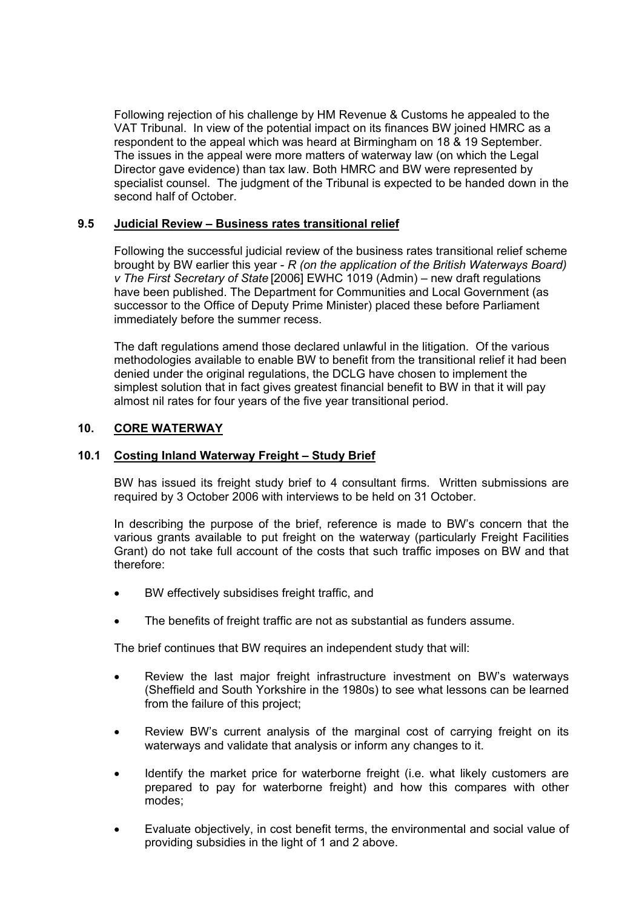Following rejection of his challenge by HM Revenue & Customs he appealed to the VAT Tribunal. In view of the potential impact on its finances BW joined HMRC as a respondent to the appeal which was heard at Birmingham on 18 & 19 September. The issues in the appeal were more matters of waterway law (on which the Legal Director gave evidence) than tax law. Both HMRC and BW were represented by specialist counsel. The judgment of the Tribunal is expected to be handed down in the second half of October.

# **9.5 Judicial Review – Business rates transitional relief**

Following the successful judicial review of the business rates transitional relief scheme brought by BW earlier this year - *R (on the application of the British Waterways Board) v The First Secretary of State* [2006] EWHC 1019 (Admin) – new draft regulations have been published. The Department for Communities and Local Government (as successor to the Office of Deputy Prime Minister) placed these before Parliament immediately before the summer recess.

The daft regulations amend those declared unlawful in the litigation. Of the various methodologies available to enable BW to benefit from the transitional relief it had been denied under the original regulations, the DCLG have chosen to implement the simplest solution that in fact gives greatest financial benefit to BW in that it will pay almost nil rates for four years of the five year transitional period.

# **10. CORE WATERWAY**

# **10.1 Costing Inland Waterway Freight – Study Brief**

BW has issued its freight study brief to 4 consultant firms. Written submissions are required by 3 October 2006 with interviews to be held on 31 October.

In describing the purpose of the brief, reference is made to BW's concern that the various grants available to put freight on the waterway (particularly Freight Facilities Grant) do not take full account of the costs that such traffic imposes on BW and that therefore:

- BW effectively subsidises freight traffic, and
- The benefits of freight traffic are not as substantial as funders assume.

The brief continues that BW requires an independent study that will:

- Review the last major freight infrastructure investment on BW's waterways (Sheffield and South Yorkshire in the 1980s) to see what lessons can be learned from the failure of this project;
- Review BW's current analysis of the marginal cost of carrying freight on its waterways and validate that analysis or inform any changes to it.
- Identify the market price for waterborne freight (i.e. what likely customers are prepared to pay for waterborne freight) and how this compares with other modes;
- Evaluate objectively, in cost benefit terms, the environmental and social value of providing subsidies in the light of 1 and 2 above.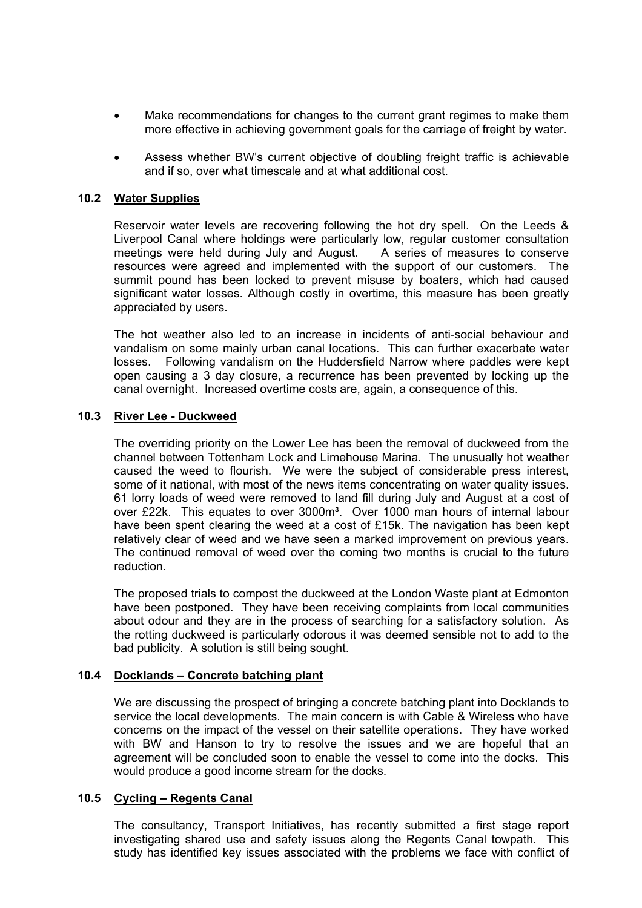- Make recommendations for changes to the current grant regimes to make them more effective in achieving government goals for the carriage of freight by water.
- Assess whether BW's current objective of doubling freight traffic is achievable and if so, over what timescale and at what additional cost.

### **10.2 Water Supplies**

Reservoir water levels are recovering following the hot dry spell. On the Leeds & Liverpool Canal where holdings were particularly low, regular customer consultation meetings were held during July and August. A series of measures to conserve resources were agreed and implemented with the support of our customers. The summit pound has been locked to prevent misuse by boaters, which had caused significant water losses. Although costly in overtime, this measure has been greatly appreciated by users.

The hot weather also led to an increase in incidents of anti-social behaviour and vandalism on some mainly urban canal locations. This can further exacerbate water losses. Following vandalism on the Huddersfield Narrow where paddles were kept open causing a 3 day closure, a recurrence has been prevented by locking up the canal overnight. Increased overtime costs are, again, a consequence of this.

### **10.3 River Lee - Duckweed**

The overriding priority on the Lower Lee has been the removal of duckweed from the channel between Tottenham Lock and Limehouse Marina. The unusually hot weather caused the weed to flourish. We were the subject of considerable press interest, some of it national, with most of the news items concentrating on water quality issues. 61 lorry loads of weed were removed to land fill during July and August at a cost of over £22k. This equates to over 3000m<sup>3</sup>. Over 1000 man hours of internal labour have been spent clearing the weed at a cost of £15k. The navigation has been kept relatively clear of weed and we have seen a marked improvement on previous years. The continued removal of weed over the coming two months is crucial to the future reduction.

The proposed trials to compost the duckweed at the London Waste plant at Edmonton have been postponed. They have been receiving complaints from local communities about odour and they are in the process of searching for a satisfactory solution. As the rotting duckweed is particularly odorous it was deemed sensible not to add to the bad publicity. A solution is still being sought.

### **10.4 Docklands – Concrete batching plant**

We are discussing the prospect of bringing a concrete batching plant into Docklands to service the local developments. The main concern is with Cable & Wireless who have concerns on the impact of the vessel on their satellite operations. They have worked with BW and Hanson to try to resolve the issues and we are hopeful that an agreement will be concluded soon to enable the vessel to come into the docks. This would produce a good income stream for the docks.

#### **10.5 Cycling – Regents Canal**

The consultancy, Transport Initiatives, has recently submitted a first stage report investigating shared use and safety issues along the Regents Canal towpath. This study has identified key issues associated with the problems we face with conflict of